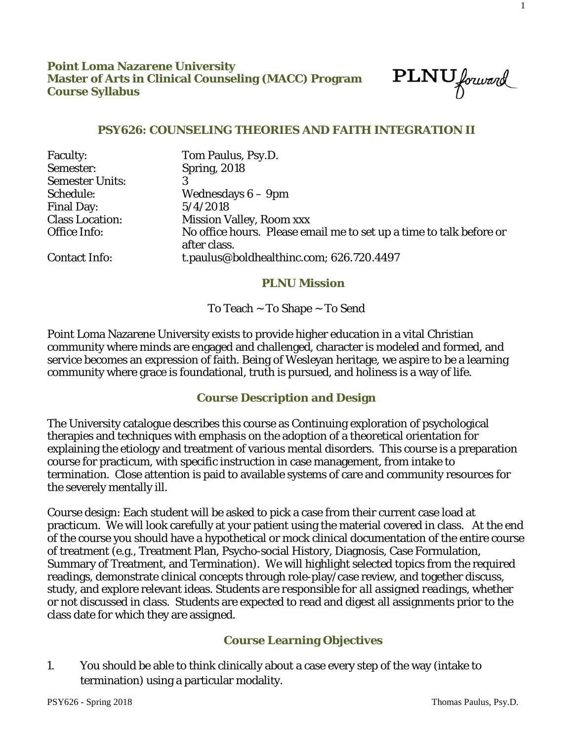$\text{PLNU}_{forward}$ 

1

### **PSY626: COUNSELING THEORIES AND FAITH INTEGRATION II**

| <b>Faculty:</b>        | Tom Paulus, Psy.D.                                                                  |
|------------------------|-------------------------------------------------------------------------------------|
| Semester:              | <b>Spring, 2018</b>                                                                 |
| <b>Semester Units:</b> |                                                                                     |
| Schedule:              | Wednesdays $6-9$ pm                                                                 |
| <b>Final Day:</b>      | 5/4/2018                                                                            |
| <b>Class Location:</b> | <b>Mission Valley, Room xxx</b>                                                     |
| Office Info:           | No office hours. Please email me to set up a time to talk before or<br>after class. |
| <b>Contact Info:</b>   | t.paulus@boldhealthinc.com; 626.720.4497                                            |

### **PLNU Mission**

To Teach ~ To Shape ~ To Send

Point Loma Nazarene University exists to provide higher education in a vital Christian community where minds are engaged and challenged, character is modeled and formed, and service becomes an expression of faith. Being of Wesleyan heritage, we aspire to be a learning community where grace is foundational, truth is pursued, and holiness is a way of life.

### **Course Description and Design**

The University catalogue describes this course as Continuing exploration of psychological therapies and techniques with emphasis on the adoption of a theoretical orientation for explaining the etiology and treatment of various mental disorders. This course is a preparation course for practicum, with specific instruction in case management, from intake to termination. Close attention is paid to available systems of care and community resources for the severely mentally ill.

Course design: Each student will be asked to pick a case from their current case load at practicum. We will look carefully at your patient using the material covered in class. At the end of the course you should have a hypothetical or mock clinical documentation of the entire course of treatment (e.g., Treatment Plan, Psycho-social History, Diagnosis, Case Formulation, Summary of Treatment, and Termination). We will highlight selected topics from the required readings, demonstrate clinical concepts through role-play/case review, and together discuss, study, and explore relevant ideas. *Students are responsible for all assigned readings*, whether or not discussed in class. Students are expected to read and digest all assignments prior to the class date for which they are assigned.

## **Course Learning Objectives**

1. You should be able to think clinically about a case every step of the way (intake to termination) using a particular modality.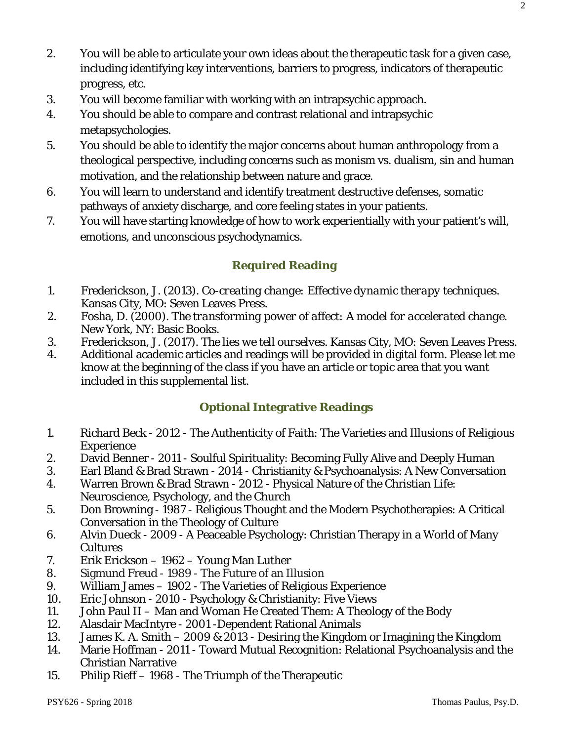- 2. You will be able to articulate your own ideas about the therapeutic task for a given case, including identifying key interventions, barriers to progress, indicators of therapeutic progress, etc.
- 3. You will become familiar with working with an intrapsychic approach.
- 4. You should be able to compare and contrast relational and intrapsychic metapsychologies.
- 5. You should be able to identify the major concerns about human anthropology from a theological perspective, including concerns such as monism vs. dualism, sin and human motivation, and the relationship between nature and grace.
- 6. You will learn to understand and identify treatment destructive defenses, somatic pathways of anxiety discharge, and core feeling states in your patients.
- 7. You will have starting knowledge of how to work experientially with your patient's will, emotions, and unconscious psychodynamics.

# **Required Reading**

- 1. Frederickson, J. (2013). *Co-creating change: Effective dynamic therapy techniques.* Kansas City, MO: Seven Leaves Press.
- 2. Fosha, D. (2000). *The transforming power of affect: A model for accelerated change.*  New York, NY: Basic Books.
- 3. Frederickson, J. (2017). *The lies we tell ourselves.* Kansas City, MO: Seven Leaves Press.
- 4. Additional academic articles and readings will be provided in digital form. Please let me know at the beginning of the class if you have an article or topic area that you want included in this supplemental list.

## **Optional Integrative Readings**

- 1. Richard Beck 2012 The Authenticity of Faith: The Varieties and Illusions of Religious **Experience**
- 2. David Benner 2011 Soulful Spirituality: Becoming Fully Alive and Deeply Human
- 3. Earl Bland & Brad Strawn 2014 Christianity & Psychoanalysis: A New Conversation
- 4. Warren Brown & Brad Strawn 2012 Physical Nature of the Christian Life: Neuroscience, Psychology, and the Church
- 5. Don Browning 1987 Religious Thought and the Modern Psychotherapies: A Critical Conversation in the Theology of Culture
- 6. Alvin Dueck 2009 A Peaceable Psychology: Christian Therapy in a World of Many Cultures
- 7. Erik Erickson 1962 Young Man Luther
- 8. Sigmund Freud 1989 The Future of an Illusion
- 9. William James 1902 The Varieties of Religious Experience
- 10. Eric Johnson 2010 Psychology & Christianity: Five Views
- 11. John Paul II Man and Woman He Created Them: A Theology of the Body
- 12. Alasdair MacIntyre 2001 -Dependent Rational Animals
- 13. James K. A. Smith 2009 & 2013 Desiring the Kingdom or Imagining the Kingdom
- 14. Marie Hoffman 2011 Toward Mutual Recognition: Relational Psychoanalysis and the Christian Narrative
- 15. Philip Rieff 1968 The Triumph of the Therapeutic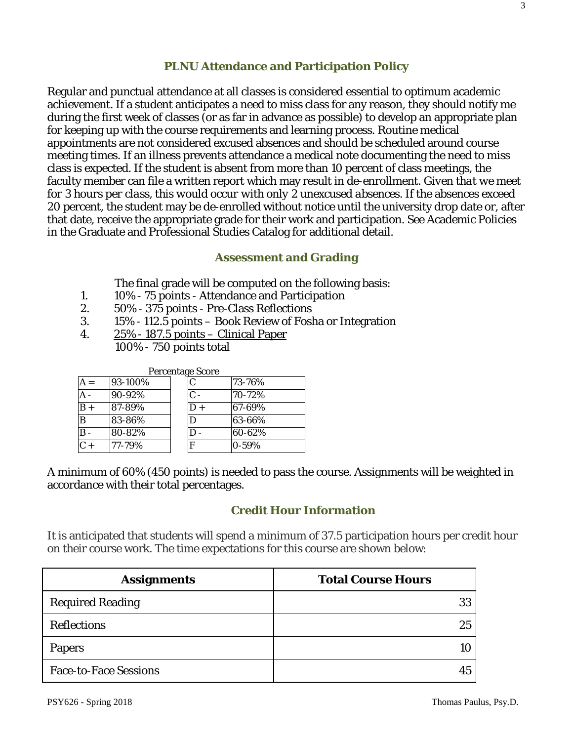# **PLNU Attendance and Participation Policy**

Regular and punctual attendance at all classes is considered essential to optimum academic achievement. If a student anticipates a need to miss class for any reason, they should notify me during the first week of classes (or as far in advance as possible) to develop an appropriate plan for keeping up with the course requirements and learning process. Routine medical appointments are not considered excused absences and should be scheduled around course meeting times. If an illness prevents attendance a medical note documenting the need to miss class is expected. If the student is absent from more than 10 percent of class meetings, the faculty member can file a written report which may result in de-enrollment. *Given that we meet for 3 hours per class, this would occur with only 2 unexcused absences.* If the absences exceed 20 percent, the student may be de-enrolled without notice until the university drop date or, after that date, receive the appropriate grade for their work and participation. See Academic Policies in the Graduate and Professional Studies Catalog for additional detail.

## **Assessment and Grading**

The final grade will be computed on the following basis:

- 1. 10% 75 points Attendance and Participation<br>2. 50% 375 points Pre-Class Reflections
- 2. 50% 375 points Pre-Class Reflections
- 3. 15% 112.5 points Book Review of Fosha or Integration
- 4. 25% 187.5 points Clinical Paper
	- 100% 750 points total

| <b>Percentage Score</b> |         |                |                        |  |  |
|-------------------------|---------|----------------|------------------------|--|--|
|                         | 93-100% | C              | 73-76%                 |  |  |
|                         | 90-92%  | $\mathsf{C}$ - | $\overline{7}0 - 72\%$ |  |  |
| $B +$                   | 87-89%  | $D +$          | 67-69%                 |  |  |
| B                       | 83-86%  | D              | 63-66%                 |  |  |
|                         | 80-82%  | D              | 60-62%                 |  |  |
| $C +$                   | 77-79%  | $\mathbf F$    | 0-59%                  |  |  |

A minimum of 60% (450 points) is needed to pass the course. Assignments will be weighted in accordance with their total percentages.

### **Credit Hour Information**

It is anticipated that students will spend a minimum of 37.5 participation hours per credit hour on their course work. The time expectations for this course are shown below:

| <b>Assignments</b>           | <b>Total Course Hours</b> |
|------------------------------|---------------------------|
| <b>Required Reading</b>      | 33                        |
| <b>Reflections</b>           | 25                        |
| <b>Papers</b>                |                           |
| <b>Face-to-Face Sessions</b> |                           |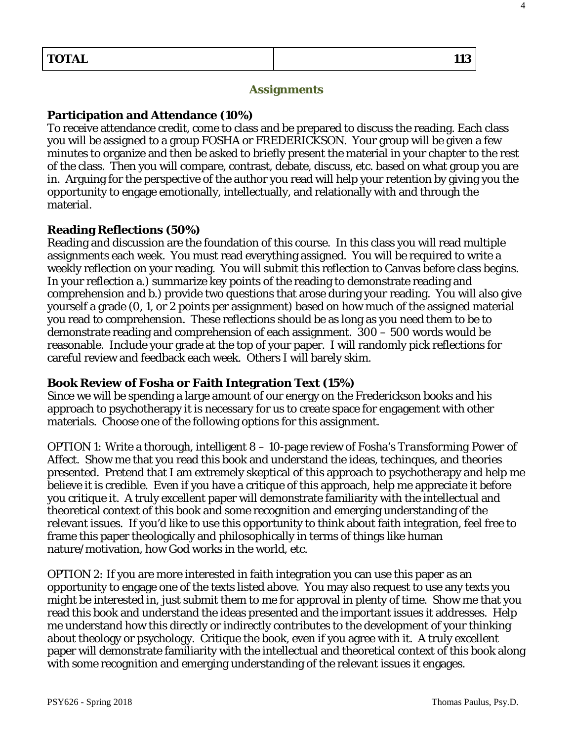4

#### **Assignments**

#### **Participation and Attendance (10%)**

To receive attendance credit, come to class and be prepared to discuss the reading. Each class you will be assigned to a group FOSHA or FREDERICKSON. Your group will be given a few minutes to organize and then be asked to briefly present the material in your chapter to the rest of the class. Then you will compare, contrast, debate, discuss, etc. based on what group you are in. Arguing for the perspective of the author you read will help your retention by giving you the opportunity to engage emotionally, intellectually, and relationally with and through the material.

#### **Reading Reflections (50%)**

Reading and discussion are the foundation of this course. In this class you will read multiple assignments each week. You must read everything assigned. You will be required to write a weekly reflection on your reading. You will submit this reflection to Canvas before class begins. In your reflection a.) summarize key points of the reading to demonstrate reading and comprehension and b.) provide two questions that arose during your reading. You will also give yourself a grade (0, 1, or 2 points per assignment) based on how much of the assigned material you read to comprehension. These reflections should be as long as you need them to be to demonstrate reading and comprehension of each assignment. 300 – 500 words would be reasonable. Include your grade at the top of your paper. I will randomly pick reflections for careful review and feedback each week. Others I will barely skim.

#### **Book Review of Fosha or Faith Integration Text (15%)**

Since we will be spending a large amount of our energy on the Frederickson books and his approach to psychotherapy it is necessary for us to create space for engagement with other materials. Choose one of the following options for this assignment.

*OPTION 1:* Write a thorough, intelligent 8 – 10-page review of Fosha's *Transforming Power of Affect.* Show me that you read this book and understand the ideas, techinques, and theories presented. Pretend that I am extremely skeptical of this approach to psychotherapy and help me believe it is credible. Even if you have a critique of this approach, help me appreciate it before you critique it. A truly excellent paper will demonstrate familiarity with the intellectual and theoretical context of this book and some recognition and emerging understanding of the relevant issues. If you'd like to use this opportunity to think about faith integration, feel free to frame this paper theologically and philosophically in terms of things like human nature/motivation, how God works in the world, etc.

*OPTION 2:* If you are more interested in faith integration you can use this paper as an opportunity to engage one of the texts listed above. You may also request to use any texts you might be interested in, just submit them to me for approval in plenty of time. Show me that you read this book and understand the ideas presented and the important issues it addresses. Help me understand how this directly or indirectly contributes to the development of your thinking about theology or psychology. Critique the book, even if you agree with it. A truly excellent paper will demonstrate familiarity with the intellectual and theoretical context of this book along with some recognition and emerging understanding of the relevant issues it engages.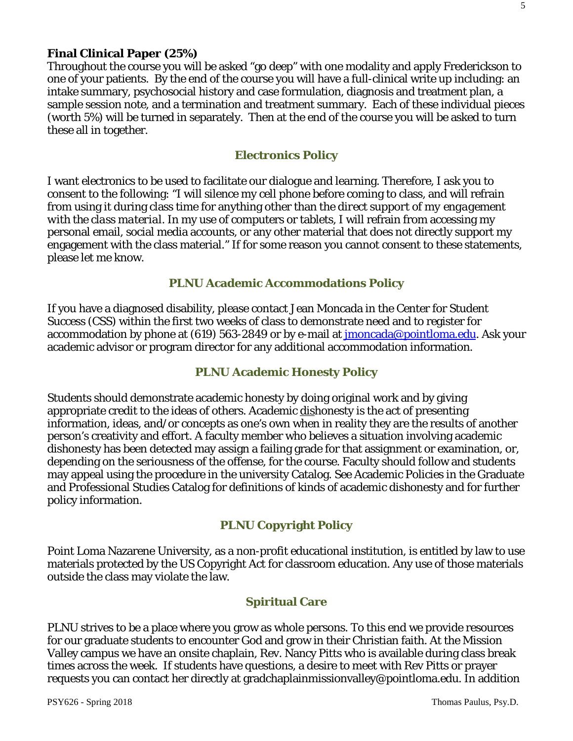## **Final Clinical Paper (25%)**

Throughout the course you will be asked "go deep" with one modality and apply Frederickson to one of your patients. By the end of the course you will have a full-clinical write up including: an intake summary, psychosocial history and case formulation, diagnosis and treatment plan, a sample session note, and a termination and treatment summary. Each of these individual pieces (worth 5%) will be turned in separately. Then at the end of the course you will be asked to turn these all in together.

#### **Electronics Policy**

I want electronics to be used to facilitate our dialogue and learning. Therefore, I ask you to consent to the following: "I will silence my cell phone before coming to class, and will refrain from using it during class time for anything other than the *direct support of my engagement with the class material*. In my use of computers or tablets, I will refrain from accessing my personal email, social media accounts, or any other material that does not directly support my engagement with the class material." If for some reason you cannot consent to these statements, please let me know.

### **PLNU Academic Accommodations Policy**

If you have a diagnosed disability, please contact Jean Moncada in the Center for Student Success (CSS) within the first two weeks of class to demonstrate need and to register for accommodation by phone at (619) 563-2849 or by e-mail at *imoncada@pointloma.edu*. Ask your academic advisor or program director for any additional accommodation information.

## **PLNU Academic Honesty Policy**

Students should demonstrate academic honesty by doing original work and by giving appropriate credit to the ideas of others. Academic dishonesty is the act of presenting information, ideas, and/or concepts as one's own when in reality they are the results of another person's creativity and effort. A faculty member who believes a situation involving academic dishonesty has been detected may assign a failing grade for that assignment or examination, or, depending on the seriousness of the offense, for the course. Faculty should follow and students may appeal using the procedure in the university Catalog. See Academic Policies in the Graduate and Professional Studies Catalog for definitions of kinds of academic dishonesty and for further policy information.

## **PLNU Copyright Policy**

Point Loma Nazarene University, as a non-profit educational institution, is entitled by law to use materials protected by the US Copyright Act for classroom education. Any use of those materials outside the class may violate the law.

### **Spiritual Care**

PLNU strives to be a place where you grow as whole persons. To this end we provide resources for our graduate students to encounter God and grow in their Christian faith. At the Mission Valley campus we have an onsite chaplain, Rev. Nancy Pitts who is available during class break times across the week. If students have questions, a desire to meet with Rev Pitts or prayer requests you can contact her directly at gradchaplainmissionvalley@pointloma.edu. In addition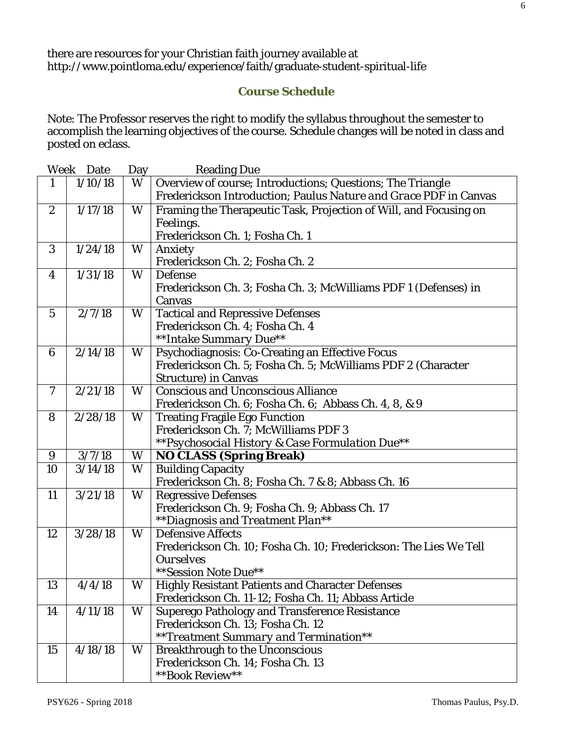# **Course Schedule**

Note: The Professor reserves the right to modify the syllabus throughout the semester to accomplish the learning objectives of the course. Schedule changes will be noted in class and posted on eclass.

|                  | Week Date | Day | <b>Reading Due</b>                                                |
|------------------|-----------|-----|-------------------------------------------------------------------|
| 1                | 1/10/18   | W   | Overview of course; Introductions; Questions; The Triangle        |
|                  |           |     | Frederickson Introduction; Paulus Nature and Grace PDF in Canvas  |
| $\boldsymbol{2}$ | 1/17/18   | W   | Framing the Therapeutic Task, Projection of Will, and Focusing on |
|                  |           |     | Feelings.                                                         |
|                  |           |     | Frederickson Ch. 1; Fosha Ch. 1                                   |
| 3                | 1/24/18   | W   | Anxiety                                                           |
|                  |           |     | Frederickson Ch. 2; Fosha Ch. 2                                   |
| 4                | 1/31/18   | W   | <b>Defense</b>                                                    |
|                  |           |     | Frederickson Ch. 3; Fosha Ch. 3; McWilliams PDF 1 (Defenses) in   |
|                  |           |     | Canvas                                                            |
| $\mathbf{5}$     | 2/7/18    | W   | <b>Tactical and Repressive Defenses</b>                           |
|                  |           |     | Frederickson Ch. 4; Fosha Ch. 4                                   |
|                  |           |     | **Intake Summary Due**                                            |
| 6                | 2/14/18   | W   | Psychodiagnosis: Co-Creating an Effective Focus                   |
|                  |           |     | Frederickson Ch. 5; Fosha Ch. 5; McWilliams PDF 2 (Character      |
|                  |           |     | <b>Structure</b> ) in Canvas                                      |
| $\tau$           | 2/21/18   | W   | <b>Conscious and Unconscious Alliance</b>                         |
|                  |           |     | Frederickson Ch. 6; Fosha Ch. 6; Abbass Ch. 4, 8, & 9             |
| 8                | 2/28/18   | W   | <b>Treating Fragile Ego Function</b>                              |
|                  |           |     | Frederickson Ch. 7; McWilliams PDF 3                              |
|                  |           |     | **Psychosocial History & Case Formulation Due**                   |
| 9                | 3/7/18    | W   | <b>NO CLASS (Spring Break)</b>                                    |
| 10               | 3/14/18   | W   | <b>Building Capacity</b>                                          |
|                  |           |     | Frederickson Ch. 8; Fosha Ch. 7 & 8; Abbass Ch. 16                |
| 11               | 3/21/18   | W   | <b>Regressive Defenses</b>                                        |
|                  |           |     | Frederickson Ch. 9; Fosha Ch. 9; Abbass Ch. 17                    |
|                  |           |     | <i>**Diagnosis and Treatment Plan**</i>                           |
| 12               | 3/28/18   | W   | <b>Defensive Affects</b>                                          |
|                  |           |     | Frederickson Ch. 10; Fosha Ch. 10; Frederickson: The Lies We Tell |
|                  |           |     | <b>Ourselves</b>                                                  |
|                  |           |     | ** Session Note Due**                                             |
| 13               | 4/4/18    | W   | <b>Highly Resistant Patients and Character Defenses</b>           |
|                  |           |     | Frederickson Ch. 11-12; Fosha Ch. 11; Abbass Article              |
| 14               | 4/11/18   | W   | <b>Superego Pathology and Transference Resistance</b>             |
|                  |           |     | Frederickson Ch. 13; Fosha Ch. 12                                 |
|                  |           |     | ** Treatment Summary and Termination**                            |
| 15               | 4/18/18   | W   | <b>Breakthrough to the Unconscious</b>                            |
|                  |           |     | Frederickson Ch. 14; Fosha Ch. 13                                 |
|                  |           |     | **Book Review**                                                   |